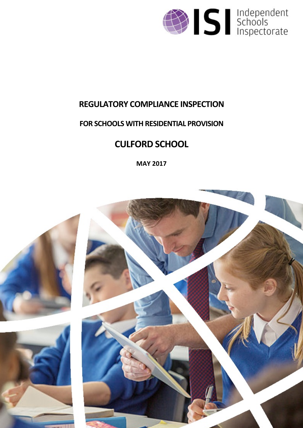

# **REGULATORY COMPLIANCE INSPECTION**

# **FOR SCHOOLS WITH RESIDENTIAL PROVISION**

# **CULFORD SCHOOL**

**MAY 2017**

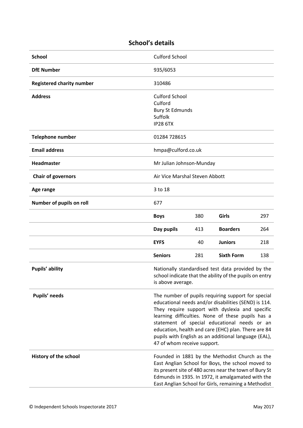# **School's details**

| <b>School</b>                    | <b>Culford School</b>                                                                                                                                                                                                                                                                                                                                                                                            |     |                   |     |
|----------------------------------|------------------------------------------------------------------------------------------------------------------------------------------------------------------------------------------------------------------------------------------------------------------------------------------------------------------------------------------------------------------------------------------------------------------|-----|-------------------|-----|
| <b>DfE Number</b>                | 935/6053                                                                                                                                                                                                                                                                                                                                                                                                         |     |                   |     |
| <b>Registered charity number</b> | 310486                                                                                                                                                                                                                                                                                                                                                                                                           |     |                   |     |
| <b>Address</b>                   | <b>Culford School</b><br>Culford<br><b>Bury St Edmunds</b><br>Suffolk<br><b>IP28 6TX</b>                                                                                                                                                                                                                                                                                                                         |     |                   |     |
| <b>Telephone number</b>          | 01284 728615                                                                                                                                                                                                                                                                                                                                                                                                     |     |                   |     |
| <b>Email address</b>             | hmpa@culford.co.uk                                                                                                                                                                                                                                                                                                                                                                                               |     |                   |     |
| Headmaster                       | Mr Julian Johnson-Munday                                                                                                                                                                                                                                                                                                                                                                                         |     |                   |     |
| <b>Chair of governors</b>        | Air Vice Marshal Steven Abbott                                                                                                                                                                                                                                                                                                                                                                                   |     |                   |     |
| Age range                        | 3 to 18                                                                                                                                                                                                                                                                                                                                                                                                          |     |                   |     |
| Number of pupils on roll         | 677                                                                                                                                                                                                                                                                                                                                                                                                              |     |                   |     |
|                                  | <b>Boys</b>                                                                                                                                                                                                                                                                                                                                                                                                      | 380 | Girls             | 297 |
|                                  | Day pupils                                                                                                                                                                                                                                                                                                                                                                                                       | 413 | <b>Boarders</b>   | 264 |
|                                  | <b>EYFS</b>                                                                                                                                                                                                                                                                                                                                                                                                      | 40  | <b>Juniors</b>    | 218 |
|                                  | <b>Seniors</b>                                                                                                                                                                                                                                                                                                                                                                                                   | 281 | <b>Sixth Form</b> | 138 |
| Pupils' ability                  | Nationally standardised test data provided by the<br>school indicate that the ability of the pupils on entry<br>is above average.                                                                                                                                                                                                                                                                                |     |                   |     |
| Pupils' needs                    | The number of pupils requiring support for special<br>educational needs and/or disabilities (SEND) is 114.<br>They require support with dyslexia and specific<br>learning difficulties. None of these pupils has a<br>statement of special educational needs or an<br>education, health and care (EHC) plan. There are 84<br>pupils with English as an additional language (EAL),<br>47 of whom receive support. |     |                   |     |
| History of the school            | Founded in 1881 by the Methodist Church as the<br>East Anglian School for Boys, the school moved to<br>its present site of 480 acres near the town of Bury St<br>Edmunds in 1935. In 1972, it amalgamated with the<br>East Anglian School for Girls, remaining a Methodist                                                                                                                                       |     |                   |     |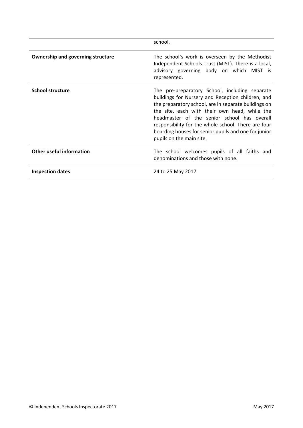|                                          | school.                                                                                                                                                                                                                                                                                                                                                                                                |
|------------------------------------------|--------------------------------------------------------------------------------------------------------------------------------------------------------------------------------------------------------------------------------------------------------------------------------------------------------------------------------------------------------------------------------------------------------|
| <b>Ownership and governing structure</b> | The school's work is overseen by the Methodist<br>Independent Schools Trust (MIST). There is a local,<br>advisory governing body on which MIST is<br>represented.                                                                                                                                                                                                                                      |
| <b>School structure</b>                  | The pre-preparatory School, including separate<br>buildings for Nursery and Reception children, and<br>the preparatory school, are in separate buildings on<br>the site, each with their own head, while the<br>headmaster of the senior school has overall<br>responsibility for the whole school. There are four<br>boarding houses for senior pupils and one for junior<br>pupils on the main site. |
| <b>Other useful information</b>          | The school welcomes pupils of all faiths and<br>denominations and those with none.                                                                                                                                                                                                                                                                                                                     |
| <b>Inspection dates</b>                  | 24 to 25 May 2017                                                                                                                                                                                                                                                                                                                                                                                      |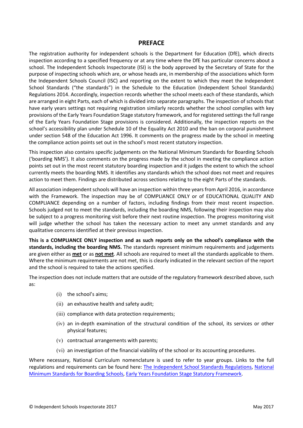#### **PREFACE**

The registration authority for independent schools is the Department for Education (DfE), which directs inspection according to a specified frequency or at any time where the DfE has particular concerns about a school. The Independent Schools Inspectorate (ISI) is the body approved by the Secretary of State for the purpose of inspecting schools which are, or whose heads are, in membership of the associations which form the Independent Schools Council (ISC) and reporting on the extent to which they meet the Independent School Standards ("the standards") in the Schedule to the Education (Independent School Standards) Regulations 2014. Accordingly, inspection records whether the school meets each of these standards, which are arranged in eight Parts, each of which is divided into separate paragraphs. The inspection of schools that have early years settings not requiring registration similarly records whether the school complies with key provisions of the Early Years Foundation Stage statutory framework, and for registered settings the full range of the Early Years Foundation Stage provisions is considered. Additionally, the inspection reports on the school's accessibility plan under Schedule 10 of the Equality Act 2010 and the ban on corporal punishment under section 548 of the Education Act 1996. It comments on the progress made by the school in meeting the compliance action points set out in the school's most recent statutory inspection.

This inspection also contains specific judgements on the National Minimum Standards for Boarding Schools ('boarding NMS'). It also comments on the progress made by the school in meeting the compliance action points set out in the most recent statutory boarding inspection and it judges the extent to which the school currently meets the boarding NMS. It identifies any standards which the school does not meet and requires action to meet them. Findings are distributed across sections relating to the eight Parts of the standards.

All association independent schools will have an inspection within three yearsfrom April 2016, in accordance with the Framework. The inspection may be of COMPLIANCE ONLY or of EDUCATIONAL QUALITY AND COMPLIANCE depending on a number of factors, including findings from their most recent inspection. Schools judged not to meet the standards, including the boarding NMS, following their inspection may also be subject to a progress monitoring visit before their next routine inspection. The progress monitoring visit will judge whether the school has taken the necessary action to meet any unmet standards and any qualitative concerns identified at their previous inspection.

**This is a COMPLIANCE ONLY inspection and as such reports only on the school's compliance with the standards, including the boarding NMS.** The standards represent minimum requirements and judgements are given either as **met** or as **not met**. All schools are required to meet all the standards applicable to them. Where the minimum requirements are not met, this is clearly indicated in the relevant section of the report and the school is required to take the actions specified.

The inspection does not include matters that are outside of the regulatory framework described above, such as:

- (i) the school's aims;
- (ii) an exhaustive health and safety audit;
- (iii) compliance with data protection requirements;
- (iv) an in-depth examination of the structural condition of the school, its services or other physical features;
- (v) contractual arrangements with parents;
- (vi) an investigation of the financial viability of the school or its accounting procedures.

Where necessary, National Curriculum nomenclature is used to refer to year groups. Links to the full regulations and requirements can be found here: The [Independent](http://www.legislation.gov.uk/uksi/2014/3283/contents/made) School Standards Regulations, [National](https://www.gov.uk/government/uploads/system/uploads/attachment_data/file/416186/20150319_nms_bs_standards.pdf) Minimum [Standards](https://www.gov.uk/government/uploads/system/uploads/attachment_data/file/416186/20150319_nms_bs_standards.pdf) for Boarding Schools, Early Years [Foundation](https://www.gov.uk/government/publications/early-years-foundation-stage-framework--2) Stage Statutory Framework.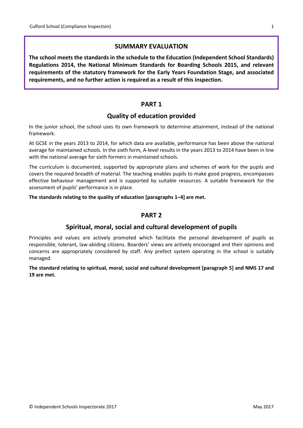## **SUMMARY EVALUATION**

**The school meets the standards in the schedule to the Education (Independent School Standards) Regulations 2014, the National Minimum Standards for Boarding Schools 2015, and relevant requirements of the statutory framework for the Early Years Foundation Stage, and associated requirements, and no further action is required as a result of this inspection.**

# **PART 1**

# **Quality of education provided**

In the junior school, the school uses its own framework to determine attainment, instead of the national framework.

At GCSE in the years 2013 to 2014, for which data are available, performance has been above the national average for maintained schools. In the sixth form, A-level results in the years 2013 to 2014 have been in line with the national average for sixth formers in maintained schools.

The curriculum is documented, supported by appropriate plans and schemes of work for the pupils and covers the required breadth of material. The teaching enables pupils to make good progress, encompasses effective behaviour management and is supported by suitable resources. A suitable framework for the assessment of pupils' performance is in place.

**The standards relating to the quality of education [paragraphs 1–4] are met.**

# **PART 2**

# **Spiritual, moral, social and cultural development of pupils**

Principles and values are actively promoted which facilitate the personal development of pupils as responsible, tolerant, law-abiding citizens. Boarders' views are actively encouraged and their opinions and concerns are appropriately considered by staff. Any prefect system operating in the school is suitably managed.

**The standard relating to spiritual, moral, social and cultural development [paragraph 5] and NMS 17 and 19 are met.**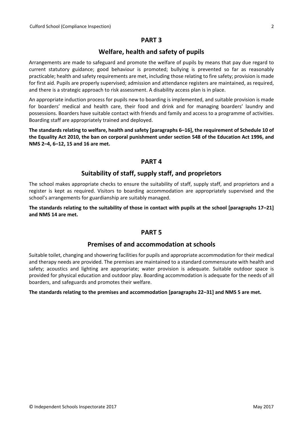# **PART 3**

# **Welfare, health and safety of pupils**

Arrangements are made to safeguard and promote the welfare of pupils by means that pay due regard to current statutory guidance; good behaviour is promoted; bullying is prevented so far as reasonably practicable; health and safety requirements are met, including those relating to fire safety; provision is made for first aid. Pupils are properly supervised; admission and attendance registers are maintained, as required, and there is a strategic approach to risk assessment. A disability access plan is in place.

An appropriate induction process for pupils new to boarding is implemented, and suitable provision is made for boarders' medical and health care, their food and drink and for managing boarders' laundry and possessions. Boarders have suitable contact with friends and family and access to a programme of activities. Boarding staff are appropriately trained and deployed.

**The standards relating to welfare, health and safety [paragraphs 6–16], the requirement of Schedule 10 of** the Equality Act 2010, the ban on corporal punishment under section 548 of the Education Act 1996, and **NMS 2–4, 6–12, 15 and 16 are met.**

# **PART 4**

# **Suitability of staff, supply staff, and proprietors**

The school makes appropriate checks to ensure the suitability of staff, supply staff, and proprietors and a register is kept as required. Visitors to boarding accommodation are appropriately supervised and the school's arrangements for guardianship are suitably managed.

The standards relating to the suitability of those in contact with pupils at the school [paragraphs 17-21] **and NMS 14 are met.**

# **PART 5**

#### **Premises of and accommodation at schools**

Suitable toilet, changing and showering facilities for pupils and appropriate accommodation for their medical and therapy needs are provided. The premises are maintained to a standard commensurate with health and safety; acoustics and lighting are appropriate; water provision is adequate. Suitable outdoor space is provided for physical education and outdoor play. Boarding accommodation is adequate for the needs of all boarders, and safeguards and promotes their welfare.

#### **The standards relating to the premises and accommodation [paragraphs 22–31] and NMS 5 are met.**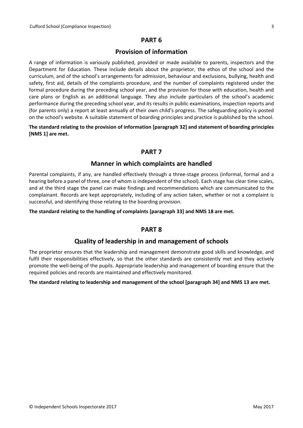# **PART 6**

# **Provision of information**

A range of information is variously published, provided or made available to parents, inspectors and the Department for Education. These include details about the proprietor, the ethos of the school and the curriculum, and of the school's arrangements for admission, behaviour and exclusions, bullying, health and safety, first aid, details of the complaints procedure, and the number of complaints registered under the formal procedure during the preceding school year, and the provision for those with education, health and care plans or English as an additional language. They also include particulars of the school's academic performance during the preceding school year, and its results in public examinations, inspection reports and (for parents only) a report at least annually of their own child's progress. The safeguarding policy is posted on the school's website. A suitable statement of boarding principles and practice is published by the school.

#### **The standard relating to the provision of information [paragraph 32] and statement of boarding principles [NMS 1] are met.**

# **PART 7**

# **Manner in which complaints are handled**

Parental complaints, if any, are handled effectively through a three-stage process (informal, formal and a hearing before a panel of three, one of whom is independent of the school). Each stage has clear time scales, and at the third stage the panel can make findings and recommendations which are communicated to the complainant. Records are kept appropriately, including of any action taken, whether or not a complaint is successful, and identifying those relating to the boarding provision.

#### **The standard relating to the handling of complaints [paragraph 33] and NMS 18 are met.**

# **PART 8**

# **Quality of leadership in and management of schools**

The proprietor ensures that the leadership and management demonstrate good skills and knowledge, and fulfil their responsibilities effectively, so that the other standards are consistently met and they actively promote the well-being of the pupils. Appropriate leadership and management of boarding ensure that the required policies and records are maintained and effectively monitored.

#### **The standard relating to leadership and management of the school [paragraph 34] and NMS 13 are met.**